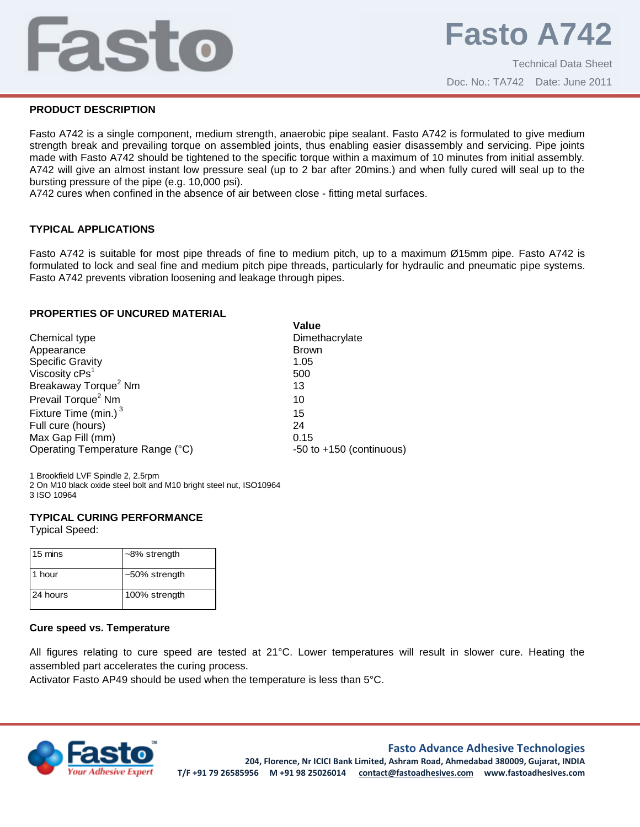# Fasto

# **PRODUCT DESCRIPTION**

Fasto A742 is a single component, medium strength, anaerobic pipe sealant. Fasto A742 is formulated to give medium strength break and prevailing torque on assembled joints, thus enabling easier disassembly and servicing. Pipe joints made with Fasto A742 should be tightened to the specific torque within a maximum of 10 minutes from initial assembly. A742 will give an almost instant low pressure seal (up to 2 bar after 20mins.) and when fully cured will seal up to the bursting pressure of the pipe (e.g. 10,000 psi).

A742 cures when confined in the absence of air between close - fitting metal surfaces.

# **TYPICAL APPLICATIONS**

Fasto A742 is suitable for most pipe threads of fine to medium pitch, up to a maximum Ø15mm pipe. Fasto A742 is formulated to lock and seal fine and medium pitch pipe threads, particularly for hydraulic and pneumatic pipe systems. Fasto A742 prevents vibration loosening and leakage through pipes.

### **PROPERTIES OF UNCURED MATERIAL**

|                                                | Value                        |
|------------------------------------------------|------------------------------|
| Chemical type                                  | Dimethacrylate               |
| Appearance                                     | <b>Brown</b>                 |
| Specific Gravity<br>Viscosity cPs <sup>1</sup> | 1.05                         |
|                                                | 500                          |
| Breakaway Torque <sup>2</sup> Nm               | 13                           |
| Prevail Torque <sup>2</sup> Nm                 | 10                           |
| Fixture Time (min.) $3$                        | 15                           |
| Full cure (hours)                              | 24                           |
| Max Gap Fill (mm)                              | 0.15                         |
| Operating Temperature Range (°C)               | $-50$ to $+150$ (continuous) |

1 Brookfield LVF Spindle 2, 2.5rpm 2 On M10 black oxide steel bolt and M10 bright steel nut, ISO10964 3 ISO 10964

### **TYPICAL CURING PERFORMANCE**

Typical Speed:

| 15 mins  | $~-8\%$ strength |
|----------|------------------|
| 1 hour   | ~50% strength    |
| 24 hours | 100% strength    |

### **Cure speed vs. Temperature**

All figures relating to cure speed are tested at 21°C. Lower temperatures will result in slower cure. Heating the assembled part accelerates the curing process.

Activator Fasto AP49 should be used when the temperature is less than 5°C.



### **Fasto Advance Adhesive Technologies**

**204, Florence, Nr ICICI Bank Limited, Ashram Road, Ahmedabad 380009, Gujarat, INDIA T/F +91 79 26585956 M +91 98 25026014 contact@fastoadhesives.com www.fastoadhesives.com**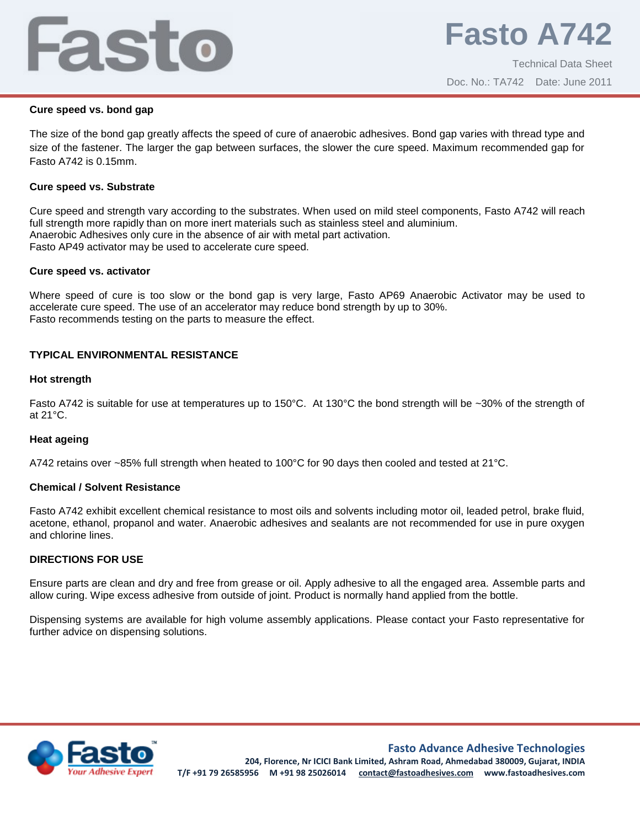# Fasto

## **Cure speed vs. bond gap**

The size of the bond gap greatly affects the speed of cure of anaerobic adhesives. Bond gap varies with thread type and size of the fastener. The larger the gap between surfaces, the slower the cure speed. Maximum recommended gap for Fasto A742 is 0.15mm.

## **Cure speed vs. Substrate**

Cure speed and strength vary according to the substrates. When used on mild steel components, Fasto A742 will reach full strength more rapidly than on more inert materials such as stainless steel and aluminium. Anaerobic Adhesives only cure in the absence of air with metal part activation. Fasto AP49 activator may be used to accelerate cure speed.

### **Cure speed vs. activator**

Where speed of cure is too slow or the bond gap is very large, Fasto AP69 Anaerobic Activator may be used to accelerate cure speed. The use of an accelerator may reduce bond strength by up to 30%. Fasto recommends testing on the parts to measure the effect.

# **TYPICAL ENVIRONMENTAL RESISTANCE**

# **Hot strength**

Fasto A742 is suitable for use at temperatures up to 150°C. At 130°C the bond strength will be ~30% of the strength of at 21°C.

### **Heat ageing**

A742 retains over ~85% full strength when heated to 100°C for 90 days then cooled and tested at 21°C.

### **Chemical / Solvent Resistance**

Fasto A742 exhibit excellent chemical resistance to most oils and solvents including motor oil, leaded petrol, brake fluid, acetone, ethanol, propanol and water. Anaerobic adhesives and sealants are not recommended for use in pure oxygen and chlorine lines.

# **DIRECTIONS FOR USE**

Ensure parts are clean and dry and free from grease or oil. Apply adhesive to all the engaged area. Assemble parts and allow curing. Wipe excess adhesive from outside of joint. Product is normally hand applied from the bottle.

Dispensing systems are available for high volume assembly applications. Please contact your Fasto representative for further advice on dispensing solutions.



**Fasto Advance Adhesive Technologies**

**204, Florence, Nr ICICI Bank Limited, Ashram Road, Ahmedabad 380009, Gujarat, INDIA T/F +91 79 26585956 M +91 98 25026014 contact@fastoadhesives.com www.fastoadhesives.com**